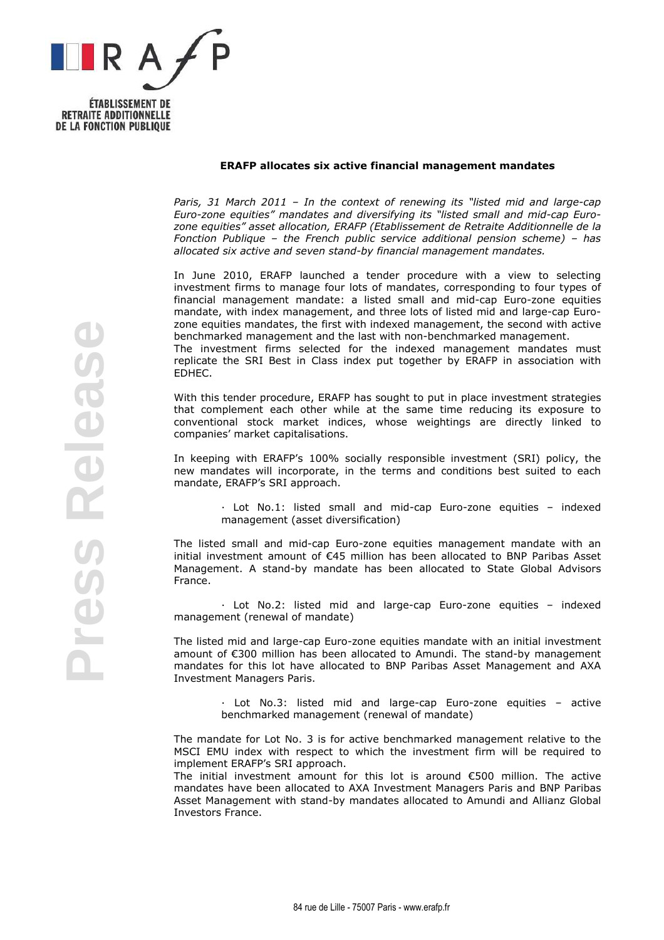

**RETRAITE ADDITIONNELLE DE LA FONCTION PUBLIQUE** 

## ERAFP allocates six active financial management mandates

Paris, 31 March 2011 – In the context of renewing its "listed mid and large-cap Euro-zone equities" mandates and diversifying its "listed small and mid-cap Eurozone equities" asset allocation, ERAFP (Etablissement de Retraite Additionnelle de la Fonction Publique – the French public service additional pension scheme) – has allocated six active and seven stand-by financial management mandates.

In June 2010, ERAFP launched a tender procedure with a view to selecting investment firms to manage four lots of mandates, corresponding to four types of financial management mandate: a listed small and mid-cap Euro-zone equities mandate, with index management, and three lots of listed mid and large-cap Eurozone equities mandates, the first with indexed management, the second with active benchmarked management and the last with non-benchmarked management. The investment firms selected for the indexed management mandates must

replicate the SRI Best in Class index put together by ERAFP in association with EDHEC.

With this tender procedure, ERAFP has sought to put in place investment strategies that complement each other while at the same time reducing its exposure to conventional stock market indices, whose weightings are directly linked to companies' market capitalisations.

In keeping with ERAFP's 100% socially responsible investment (SRI) policy, the new mandates will incorporate, in the terms and conditions best suited to each mandate, ERAFP's SRI approach.

> Lot No.1: listed small and mid-cap Euro-zone equities – indexed management (asset diversification)

The listed small and mid-cap Euro-zone equities management mandate with an initial investment amount of €45 million has been allocated to BNP Paribas Asset Management. A stand-by mandate has been allocated to State Global Advisors France.

 Lot No.2: listed mid and large-cap Euro-zone equities – indexed management (renewal of mandate)

The listed mid and large-cap Euro-zone equities mandate with an initial investment amount of €300 million has been allocated to Amundi. The stand-by management mandates for this lot have allocated to BNP Paribas Asset Management and AXA Investment Managers Paris.

> Lot No.3: listed mid and large-cap Euro-zone equities – active benchmarked management (renewal of mandate)

The mandate for Lot No. 3 is for active benchmarked management relative to the MSCI EMU index with respect to which the investment firm will be required to implement ERAFP's SRI approach.

The initial investment amount for this lot is around €500 million. The active mandates have been allocated to AXA Investment Managers Paris and BNP Paribas Asset Management with stand-by mandates allocated to Amundi and Allianz Global Investors France.